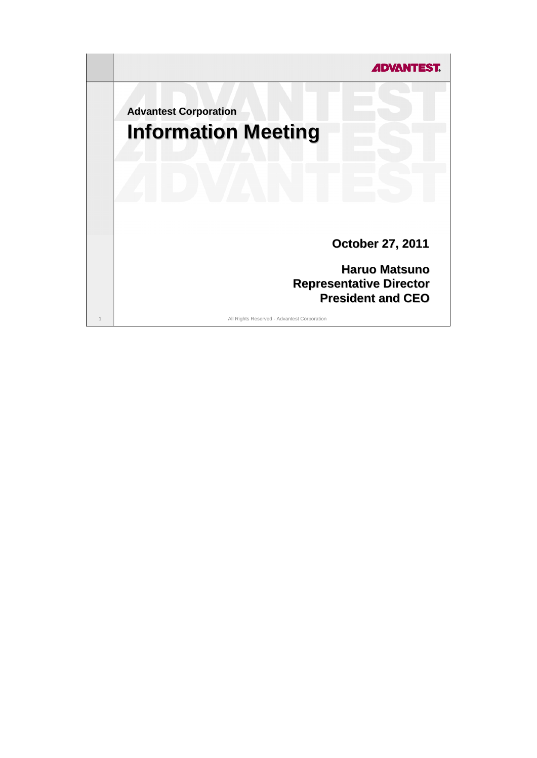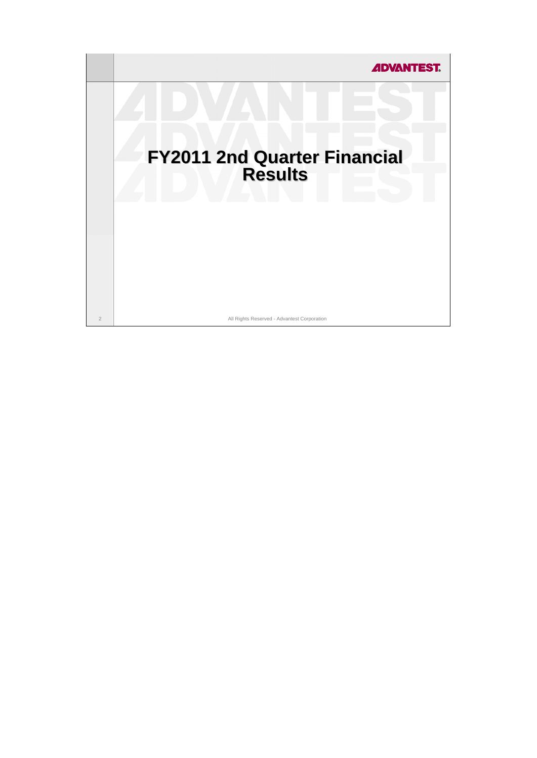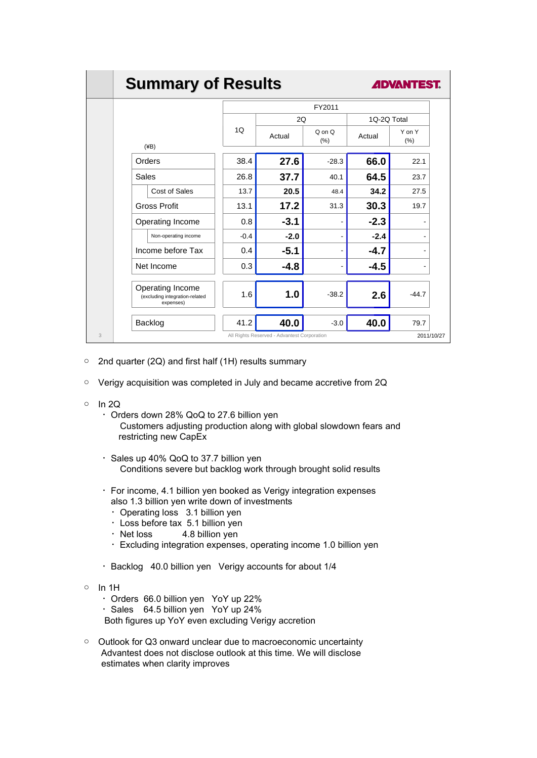# **Summary of Results Summary of Results**

**ADVANTEST** 

|   | FY2011                                                          |        |        |                    |             |                |  |
|---|-----------------------------------------------------------------|--------|--------|--------------------|-------------|----------------|--|
|   |                                                                 |        | 2Q     |                    | 1Q-2Q Total |                |  |
|   | $(\yen B)$                                                      | 1Q     | Actual | $Q$ on $Q$<br>(% ) | Actual      | Y on Y<br>(% ) |  |
|   | Orders                                                          | 38.4   | 27.6   | $-28.3$            | 66.0        | 22.1           |  |
|   | <b>Sales</b>                                                    | 26.8   | 37.7   | 40.1               | 64.5        | 23.7           |  |
|   | <b>Cost of Sales</b>                                            | 13.7   | 20.5   | 48.4               | 34.2        | 27.5           |  |
|   | <b>Gross Profit</b>                                             | 13.1   | 17.2   | 31.3               | 30.3        | 19.7           |  |
|   | Operating Income                                                | 0.8    | $-3.1$ |                    | $-2.3$      | -              |  |
|   | Non-operating income                                            | $-0.4$ | $-2.0$ |                    | $-2.4$      | ۰              |  |
|   | Income before Tax                                               | 0.4    | $-5.1$ |                    | $-4.7$      | -              |  |
|   | Net Income                                                      | 0.3    | $-4.8$ |                    | $-4.5$      | ۰              |  |
|   | Operating Income<br>(excluding integration-related<br>expenses) | 1.6    | 1.0    | $-38.2$            | 2.6         | $-44.7$        |  |
|   | Backlog                                                         | 41.2   | 40.0   | $-3.0$             | 40.0        | 79.7           |  |
| 3 | All Rights Reserved - Advantest Corporation<br>2011/10/27       |        |        |                    |             |                |  |

- 2nd quarter (2Q) and first half (1H) results summary
- Verigy acquisition was completed in July and became accretive from 2Q
- In 2Q
	- ・Orders down 28% QoQ to 27.6 billion yen Customers adjusting production along with global slowdown fears and
		- restricting new CapEx
	- ・Sales up 40% QoQ to 37.7 billion yen Conditions severe but backlog work through brought solid results
	- ・For income, 4.1 billion yen booked as Verigy integration expenses also 1.3 billion yen write down of investments
		- ・Operating loss 3.1 billion yen
		- ・Loss before tax 5.1 billion yen
		- ・Net loss 4.8 billion yen
		- ・Excluding integration expenses, operating income 1.0 billion yen
	- ・Backlog 40.0 billion yen Verigy accounts for about 1/4
- $\circ$  In 1H
	- ・Orders 66.0 billion yen YoY up 22%
	- ・Sales 64.5 billion yen YoY up 24%

Both figures up YoY even excluding Verigy accretion

○ Outlook for Q3 onward unclear due to macroeconomic uncertainty Advantest does not disclose outlook at this time. We will disclose estimates when clarity improves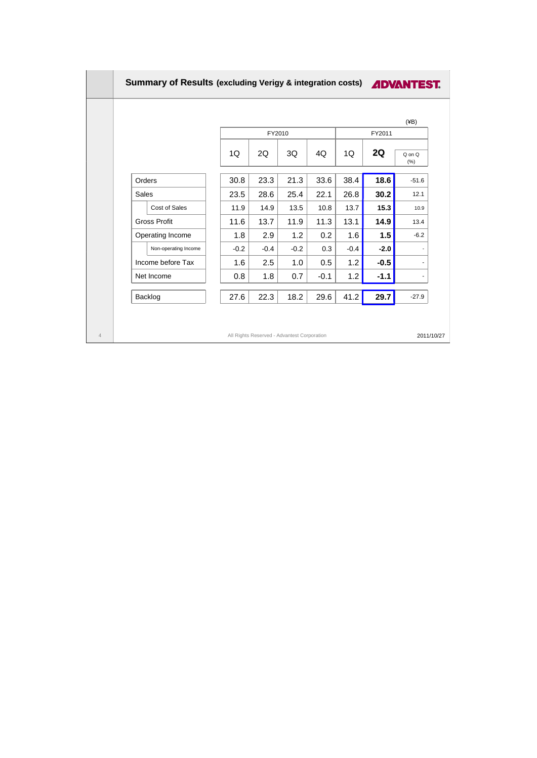| Summary of Results (excluding Verigy & integration costs) ADVANTEST. |        |        |        |        |        |        |                |
|----------------------------------------------------------------------|--------|--------|--------|--------|--------|--------|----------------|
|                                                                      |        |        |        |        |        |        | $(\yen B)$     |
|                                                                      | FY2010 |        |        |        | FY2011 |        |                |
|                                                                      | 1Q     | 2Q     | 3Q     | 4Q     | 1Q     | 2Q     | Q on Q<br>(% ) |
| Orders                                                               | 30.8   | 23.3   | 21.3   | 33.6   | 38.4   | 18.6   | $-51.6$        |
| <b>Sales</b>                                                         | 23.5   | 28.6   | 25.4   | 22.1   | 26.8   | 30.2   | 12.1           |
| Cost of Sales                                                        | 11.9   | 14.9   | 13.5   | 10.8   | 13.7   | 15.3   | 10.9           |
| <b>Gross Profit</b>                                                  | 11.6   | 13.7   | 11.9   | 11.3   | 13.1   | 14.9   | 13.4           |
| Operating Income                                                     | 1.8    | 2.9    | 1.2    | 0.2    | 1.6    | $1.5$  | $-6.2$         |
| Non-operating Income                                                 | $-0.2$ | $-0.4$ | $-0.2$ | 0.3    | $-0.4$ | $-2.0$ |                |
| Income before Tax                                                    | 1.6    | 2.5    | 1.0    | 0.5    | 1.2    | $-0.5$ |                |
| Net Income                                                           | 0.8    | 1.8    | 0.7    | $-0.1$ | 1.2    | $-1.1$ |                |
| Backlog                                                              | 27.6   | 22.3   | 18.2   | 29.6   | 41.2   | 29.7   | $-27.9$        |
|                                                                      |        |        |        |        |        |        |                |
| All Rights Reserved - Advantest Corporation<br>2011/10/27            |        |        |        |        |        |        |                |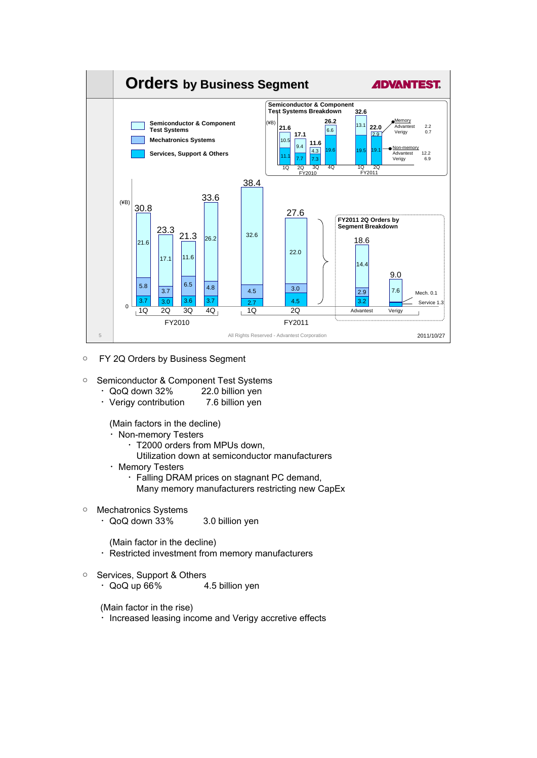

- FY 2Q Orders by Business Segment
- Semiconductor & Component Test Systems
	- ・QoQ down 32% 22.0 billion yen
	- ・Verigy contribution 7.6 billion yen

(Main factors in the decline)

- ・Non-memory Testers
	- ・T2000 orders from MPUs down,
	- Utilization down at semiconductor manufacturers
- ・Memory Testers
	- ・Falling DRAM prices on stagnant PC demand,
	- Many memory manufacturers restricting new CapEx
- Mechatronics Systems
	- ・QoQ down 33% 3.0 billion yen

(Main factor in the decline)

- ・Restricted investment from memory manufacturers
- Services, Support & Others
	- ・QoQ up 66% 4.5 billion yen

(Main factor in the rise)

・Increased leasing income and Verigy accretive effects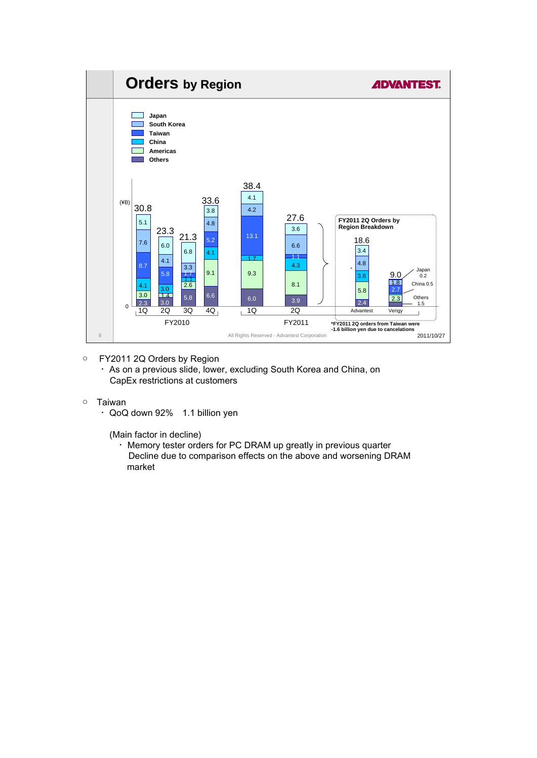

# ○ FY2011 2Q Orders by Region

・As on a previous slide, lower, excluding South Korea and China, on CapEx restrictions at customers

- Taiwan
	- ・QoQ down 92% 1.1 billion yen

(Main factor in decline)

・Memory tester orders for PC DRAM up greatly in previous quarter Decline due to comparison effects on the above and worsening DRAM market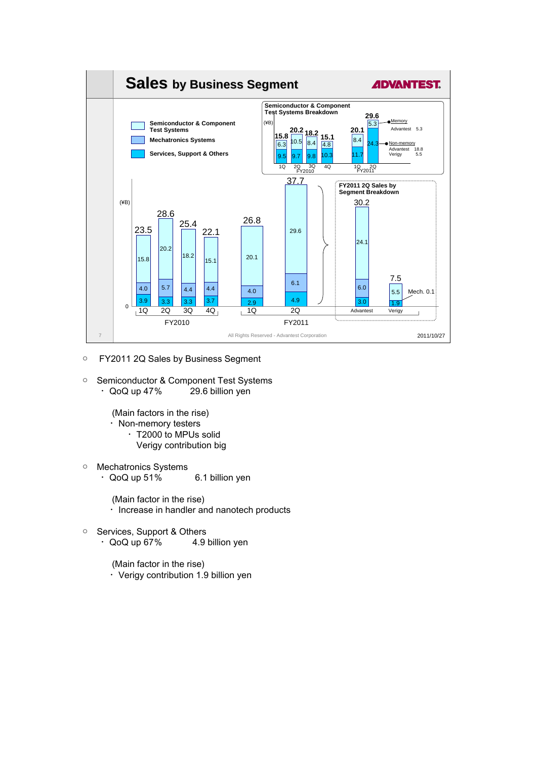

- FY2011 2Q Sales by Business Segment
- Semiconductor & Component Test Systems<br>
QoQ up 47% 29.6 billion ven  $\cdot$  QoQ up 47%

(Main factors in the rise)

- ・Non-memory testers
	- ・T2000 to MPUs solid
	- Verigy contribution big
- Mechatronics Systems
	- ・QoQ up 51% 6.1 billion yen
		- (Main factor in the rise)
		- ・Increase in handler and nanotech products
- Services, Support & Others ・QoQ up 67% 4.9 billion yen

(Main factor in the rise) ・Verigy contribution 1.9 billion yen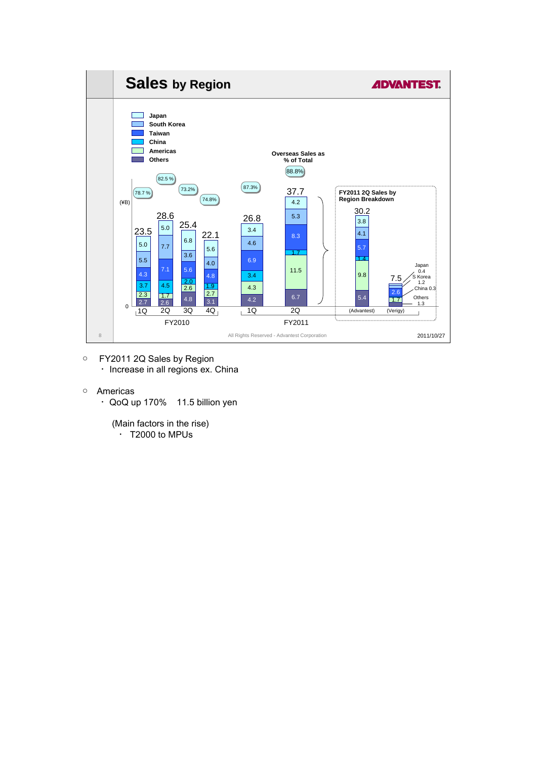

- FY2011 2Q Sales by Region ・Increase in all regions ex. China
- Americas
	- ・QoQ up 170% 11.5 billion yen
		- (Main factors in the rise) ・ T2000 to MPUs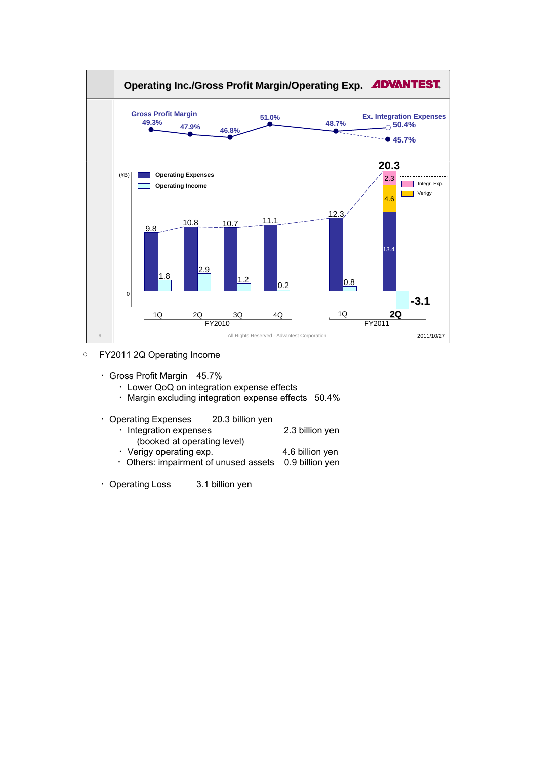

- FY2011 2Q Operating Income
	- ・Gross Profit Margin 45.7%
		- ・Lower QoQ on integration expense effects
		- ・Margin excluding integration expense effects 50.4%
	- ・Operating Expenses 20.3 billion yen
		- ・Integration expenses 2.3 billion yen (booked at operating level)
		- Verigy operating exp. 4.6 billion yen
		- ・Others: impairment of unused assets 0.9 billion yen
	- ・Operating Loss 3.1 billion yen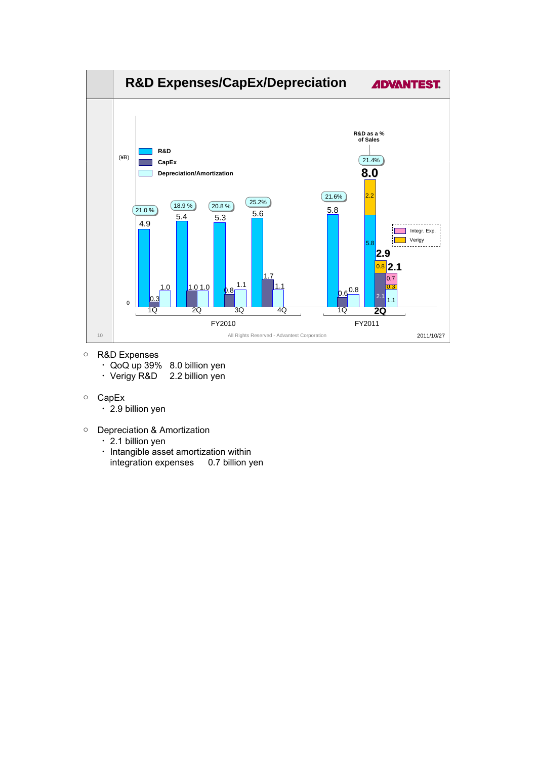

- R&D Expenses
	- ・QoQ up 39% 8.0 billion yen
	- ・Verigy R&D 2.2 billion yen
- CapEx
	- ・2.9 billion yen
- Depreciation & Amortization
	- $\cdot$  2.1 billion yen
	- ・Intangible asset amortization within integration expenses 0.7 billion yen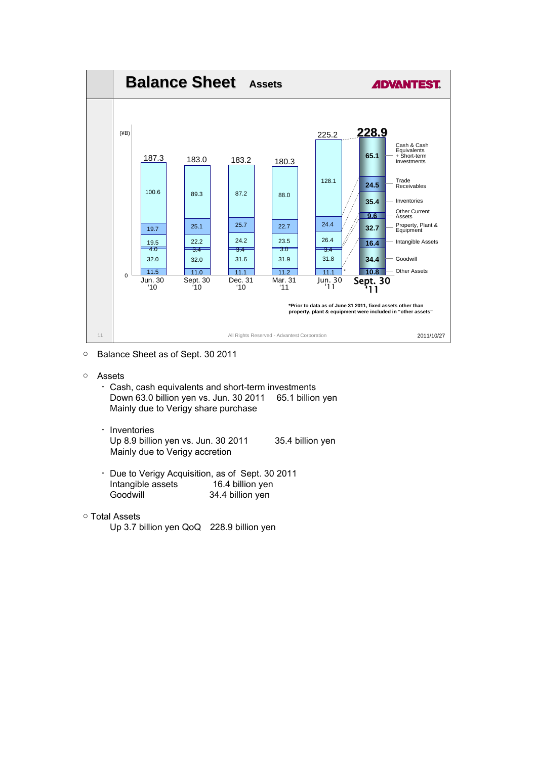

- Balance Sheet as of Sept. 30 2011
- Assets
	- ・Cash, cash equivalents and short-term investments Down 63.0 billion yen vs. Jun. 30 2011 65.1 billion yen Mainly due to Verigy share purchase
	- ・Inventories Up 8.9 billion yen vs. Jun. 30 2011 35.4 billion yen Mainly due to Verigy accretion
	- ・Due to Verigy Acquisition, as of Sept. 30 2011 Intangible assets 16.4 billion yen Goodwill 34.4 billion yen

# ○ Total Assets

Up 3.7 billion yen QoQ 228.9 billion yen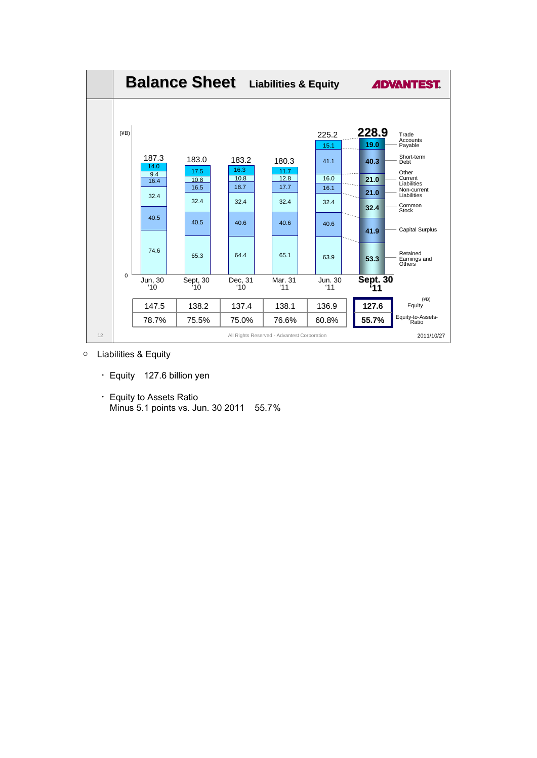

- Liabilities & Equity
	- ・Equity 127.6 billion yen
	- ・Equity to Assets Ratio Minus 5.1 points vs. Jun. 30 2011 55.7%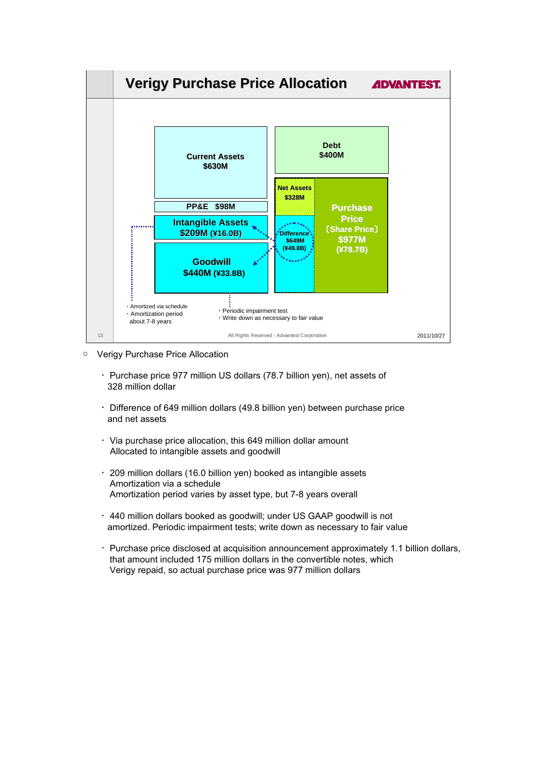

- Verigy Purchase Price Allocation
	- ・Purchase price 977 million US dollars (78.7 billion yen), net assets of 328 million dollar
	- ・Difference of 649 million dollars (49.8 billion yen) between purchase price and net assets
	- ・Via purchase price allocation, this 649 million dollar amount Allocated to intangible assets and goodwill
	- ・209 million dollars (16.0 billion yen) booked as intangible assets Amortization via a schedule Amortization period varies by asset type, but 7-8 years overall
	- ・440 million dollars booked as goodwill; under US GAAP goodwill is not amortized. Periodic impairment tests; write down as necessary to fair value
	- ・Purchase price disclosed at acquisition announcement approximately 1.1 billion dollars, that amount included 175 million dollars in the convertible notes, which Verigy repaid, so actual purchase price was 977 million dollars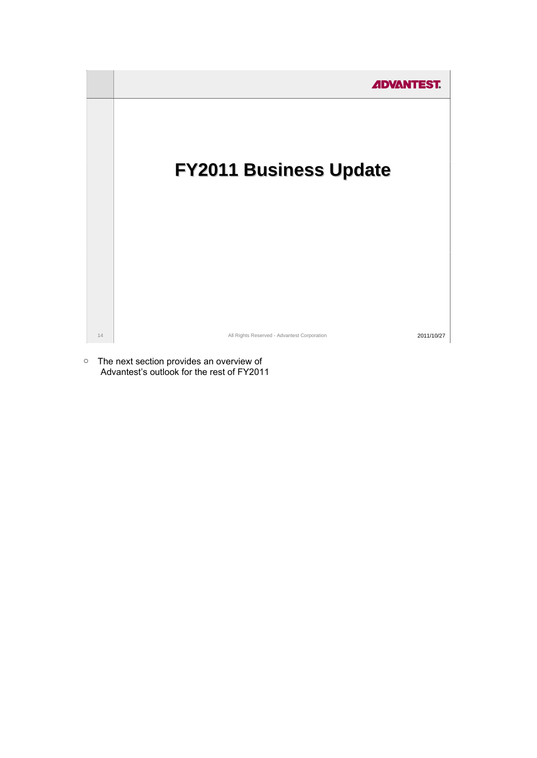

○ The next section provides an overview of Advantest's outlook for the rest of FY2011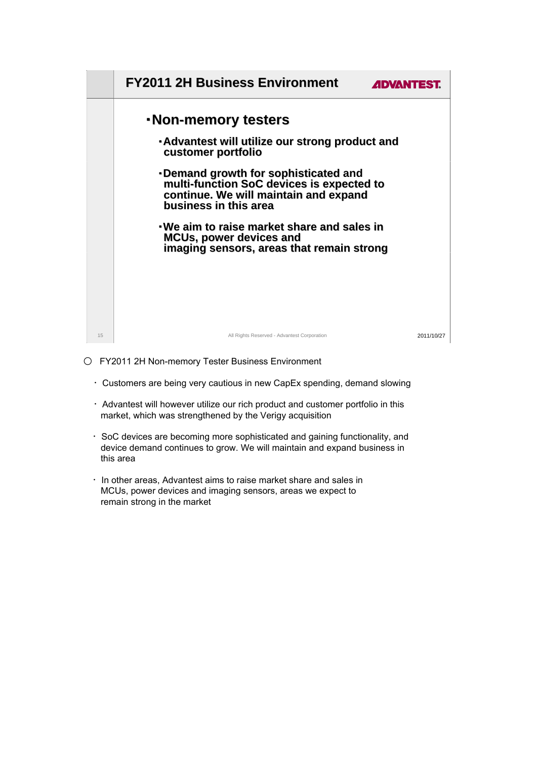

- FY2011 2H Non-memory Tester Business Environment
	- ・Customers are being very cautious in new CapEx spending, demand slowing
	- ・Advantest will however utilize our rich product and customer portfolio in this market, which was strengthened by the Verigy acquisition
	- ・SoC devices are becoming more sophisticated and gaining functionality, and device demand continues to grow. We will maintain and expand business in this area
	- ・In other areas, Advantest aims to raise market share and sales in MCUs, power devices and imaging sensors, areas we expect to remain strong in the market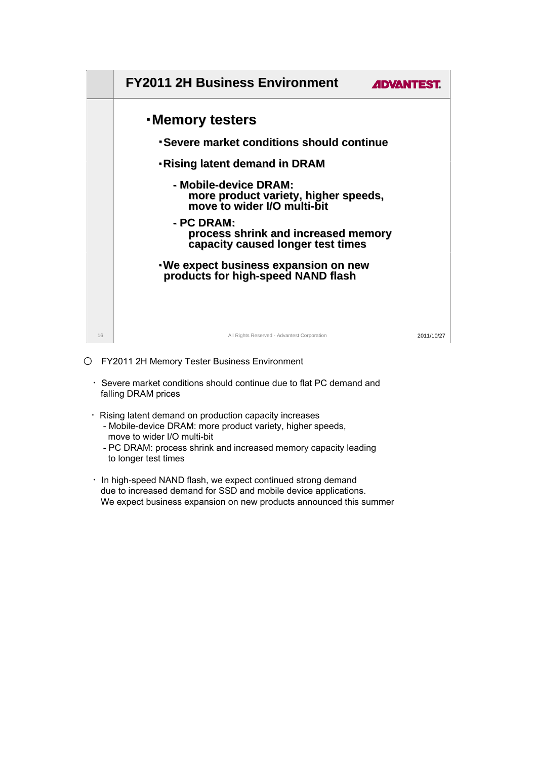

# ○ FY2011 2H Memory Tester Business Environment

- ・Severe market conditions should continue due to flat PC demand and falling DRAM prices
- ・Rising latent demand on production capacity increases
	- Mobile-device DRAM: more product variety, higher speeds, move to wider I/O multi-bit
	- PC DRAM: process shrink and increased memory capacity leading to longer test times
- ・In high-speed NAND flash, we expect continued strong demand due to increased demand for SSD and mobile device applications. We expect business expansion on new products announced this summer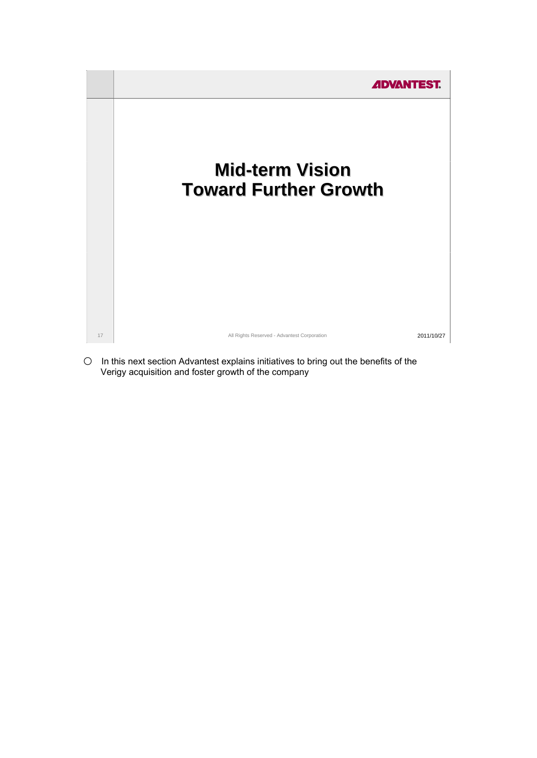

○ In this next section Advantest explains initiatives to bring out the benefits of the Verigy acquisition and foster growth of the company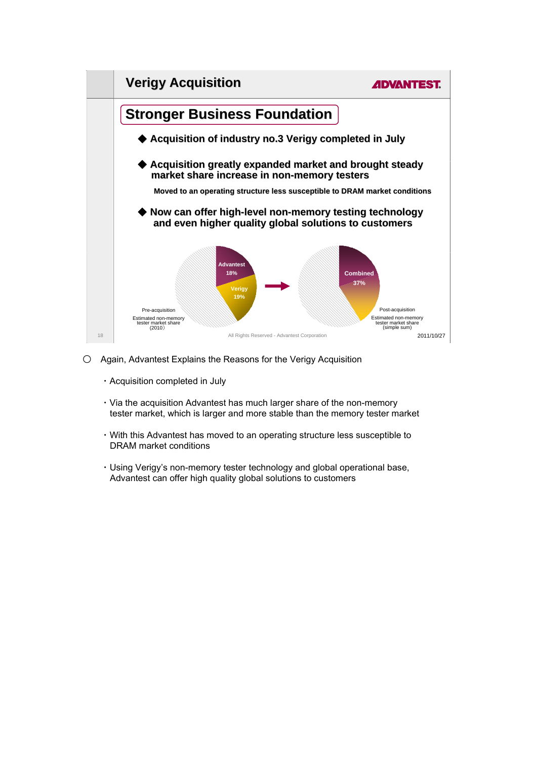

- Again, Advantest Explains the Reasons for the Verigy Acquisition
	- ・Acquisition completed in July
	- ・Via the acquisition Advantest has much larger share of the non-memory tester market, which is larger and more stable than the memory tester market
	- ・With this Advantest has moved to an operating structure less susceptible to DRAM market conditions
	- ・Using Verigy's non-memory tester technology and global operational base, Advantest can offer high quality global solutions to customers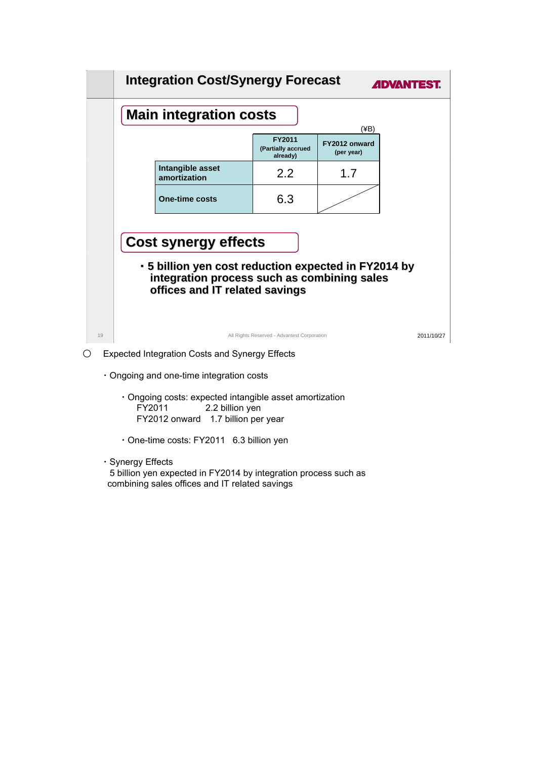

# ○ Expected Integration Costs and Synergy Effects

- ・Ongoing and one-time integration costs
	- ・Ongoing costs: expected intangible asset amortization FY2011 2.2 billion yen FY2012 onward 1.7 billion per year
	- ・One-time costs: FY2011 6.3 billion yen
- ・Synergy Effects

5 billion yen expected in FY2014 by integration process such as combining sales offices and IT related savings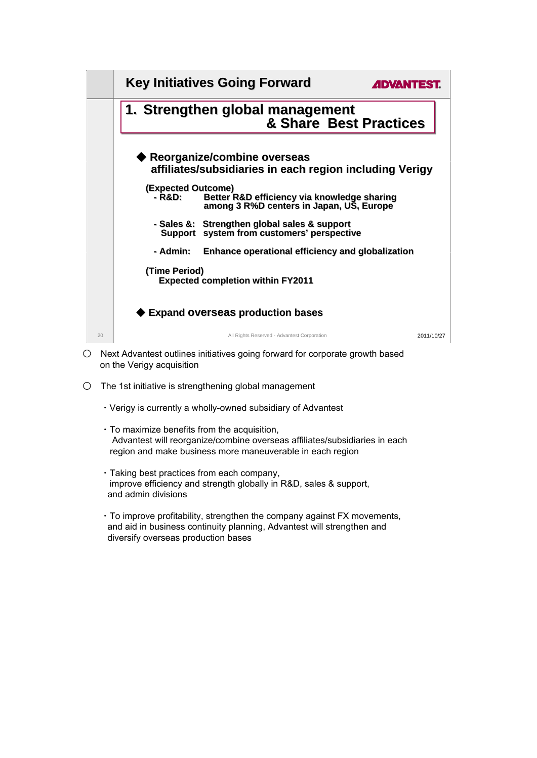

○ Next Advantest outlines initiatives going forward for corporate growth based on the Verigy acquisition

- $O$  The 1st initiative is strengthening global management
	- ・Verigy is currently a wholly-owned subsidiary of Advantest
	- ・To maximize benefits from the acquisition, Advantest will reorganize/combine overseas affiliates/subsidiaries in each region and make business more maneuverable in each region
	- ・Taking best practices from each company, improve efficiency and strength globally in R&D, sales & support, and admin divisions
	- ・To improve profitability, strengthen the company against FX movements, and aid in business continuity planning, Advantest will strengthen and diversify overseas production bases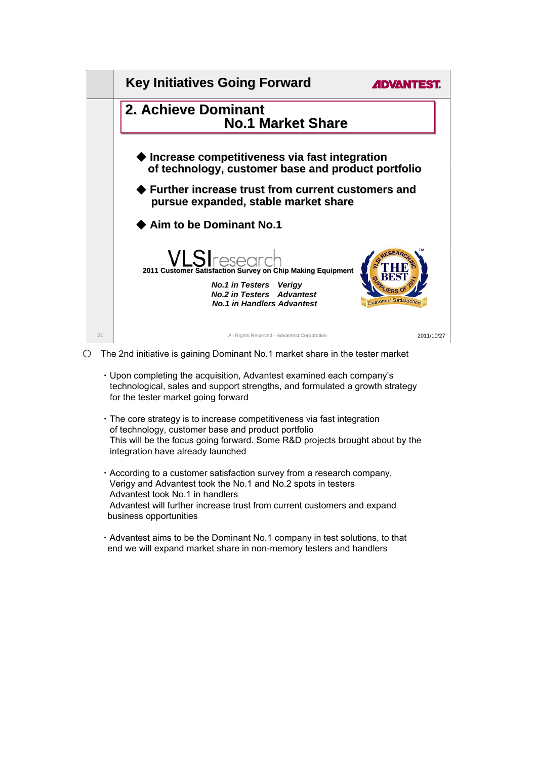

○ The 2nd initiative is gaining Dominant No.1 market share in the tester market

- ・Upon completing the acquisition, Advantest examined each company's technological, sales and support strengths, and formulated a growth strategy for the tester market going forward
- ・The core strategy is to increase competitiveness via fast integration of technology, customer base and product portfolio This will be the focus going forward. Some R&D projects brought about by the integration have already launched
- ・According to a customer satisfaction survey from a research company, Verigy and Advantest took the No.1 and No.2 spots in testers Advantest took No.1 in handlers Advantest will further increase trust from current customers and expand business opportunities
- ・Advantest aims to be the Dominant No.1 company in test solutions, to that end we will expand market share in non-memory testers and handlers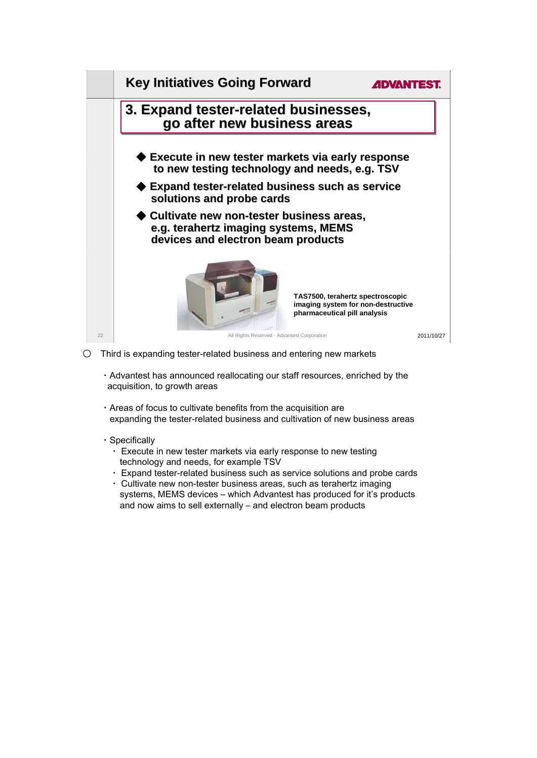

- $\bigcirc$  Third is expanding tester-related business and entering new markets
	- ・Advantest has announced reallocating our staff resources, enriched by the acquisition, to growth areas
	- ・Areas of focus to cultivate benefits from the acquisition are expanding the tester-related business and cultivation of new business areas
	- ・Specifically
		- ・ Execute in new tester markets via early response to new testing technology and needs, for example TSV
		- ・ Expand tester-related business such as service solutions and probe cards
		- ・ Cultivate new non-tester business areas, such as terahertz imaging systems, MEMS devices – which Advantest has produced for it's products and now aims to sell externally – and electron beam products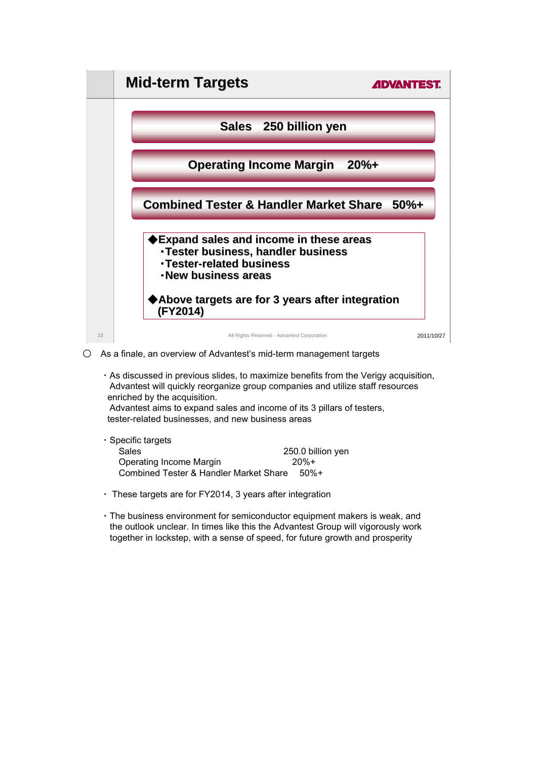

○ As a finale, an overview of Advantest's mid-term management targets

・As discussed in previous slides, to maximize benefits from the Verigy acquisition, Advantest will quickly reorganize group companies and utilize staff resources enriched by the acquisition.

Advantest aims to expand sales and income of its 3 pillars of testers, tester-related businesses, and new business areas

| $\cdot$ Specific targets               |                   |
|----------------------------------------|-------------------|
| Sales                                  | 250.0 billion yen |
| Operating Income Margin                | $20%+$            |
| Combined Tester & Handler Market Share | - 50%+            |

・ These targets are for FY2014, 3 years after integration

・The business environment for semiconductor equipment makers is weak, and the outlook unclear. In times like this the Advantest Group will vigorously work together in lockstep, with a sense of speed, for future growth and prosperity